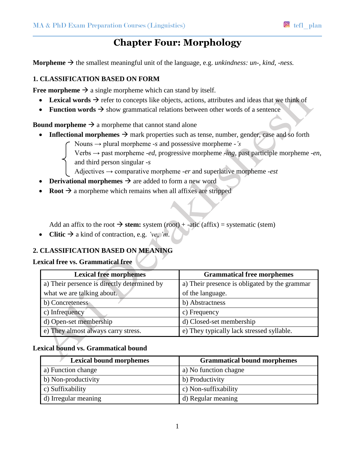# **Chapter Four: Morphology**

**Morpheme**  $\rightarrow$  the smallest meaningful unit of the language, e.g. *unkindness: un-, kind, -ness.* 

### **1. CLASSIFICATION BASED ON FORM**

**Free morpheme**  $\rightarrow$  a single morpheme which can stand by itself.

- **Lexical words**  $\rightarrow$  refer to concepts like objects, actions, attributes and ideas that we think of
- **Function words**  $\rightarrow$  show grammatical relations between other words of a sentence

**Bound morpheme**  $\rightarrow$  a morpheme that cannot stand alone

- **Inflectional morphemes**  $\rightarrow$  mark properties such as tense, number, gender, case and so forth
	- Nouns → plural morpheme *-s* and possessive morpheme *-'s*
	- Verbs → past morpheme -*ed*, progressive morpheme *-ing*, past participle morpheme -*en*, and third person singular *-s*

Adjectives → comparative morpheme -*er* and superlative morpheme *-est*

- **Derivational morphemes**  $\rightarrow$  are added to form a new word
- **Root**  $\rightarrow$  a morpheme which remains when all affixes are stripped

Add an affix to the root  $\rightarrow$  stem: system (root) + -atic (affix) = systematic (stem)

• Clitic  $\rightarrow$  a kind of contraction, e.g. *'ve*, *'m*.

# **2. CLASSIFICATION BASED ON MEANING**

#### **Lexical free vs. Grammatical free**

| <b>Lexical free morphemes</b>               | <b>Grammatical free morphemes</b>             |
|---------------------------------------------|-----------------------------------------------|
| a) Their persence is directly determined by | a) Their presence is obligated by the grammar |
| what we are talking about.                  | of the language.                              |
| b) Concreteness                             | b) Abstractness                               |
| c) Infrequency                              | c) Frequency                                  |
| d) Open-set membership                      | d) Closed-set membership                      |
| e) They almost always carry stress.         | e) They typically lack stressed syllable.     |

## **Lexical bound vs. Grammatical bound**

| <b>Lexical bound morphemes</b> | <b>Grammatical bound morphemes</b> |
|--------------------------------|------------------------------------|
| a) Function change             | a) No function chagne              |
| b) Non-productivity            | b) Productivity                    |
| c) Suffixability               | c) Non-suffixability               |
| d) Irregular meaning           | d) Regular meaning                 |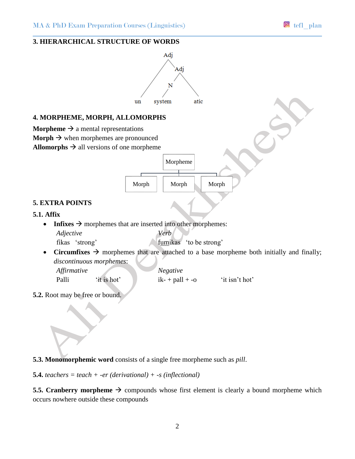### **3. HIERARCHICAL STRUCTURE OF WORDS**



**5.3. Monomorphemic word** consists of a single free morpheme such as *pill*.

**5.4.** *teachers = teach + -er (derivational) + -s (inflectional)*

**5.5. Cranberry morpheme**  $\rightarrow$  compounds whose first element is clearly a bound morpheme which occurs nowhere outside these compounds